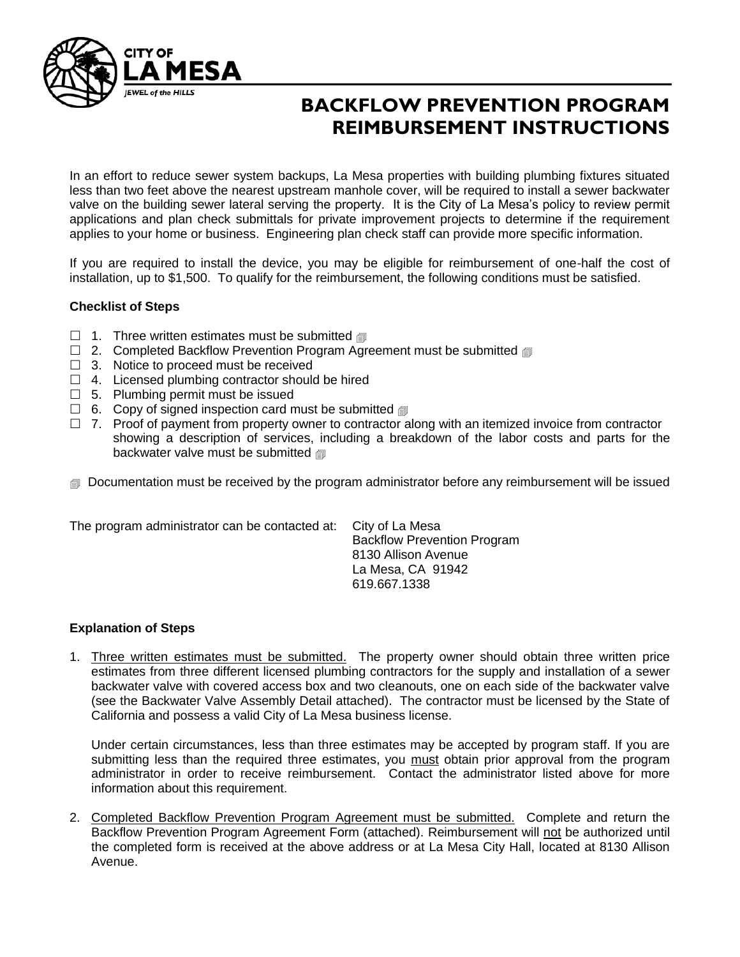

# **BACKFLOW PREVENTION PROGRAM REIMBURSEMENT INSTRUCTIONS**

In an effort to reduce sewer system backups, La Mesa properties with building plumbing fixtures situated less than two feet above the nearest upstream manhole cover, will be required to install a sewer backwater valve on the building sewer lateral serving the property. It is the City of La Mesa's policy to review permit applications and plan check submittals for private improvement projects to determine if the requirement applies to your home or business. Engineering plan check staff can provide more specific information.

If you are required to install the device, you may be eligible for reimbursement of one-half the cost of installation, up to \$1,500. To qualify for the reimbursement, the following conditions must be satisfied.

#### **Checklist of Steps**

- 1. Three written estimates must be submitted  $\text{I}$
- $\Box$  2. Completed Backflow Prevention Program Agreement must be submitted
- $\Box$  3. Notice to proceed must be received
- $\Box$  4. Licensed plumbing contractor should be hired
- $\Box$  5. Plumbing permit must be issued
- $\Box$  6. Copy of signed inspection card must be submitted  $\text{d}$
- $\Box$  7. Proof of payment from property owner to contractor along with an itemized invoice from contractor showing a description of services, including a breakdown of the labor costs and parts for the backwater valve must be submitted

**Documentation must be received by the program administrator before any reimbursement will be issued** 

| The program administrator can be contacted at: | City of La Mesa                    |
|------------------------------------------------|------------------------------------|
|                                                | <b>Backflow Prevention Program</b> |
|                                                | 8130 Allison Avenue                |
|                                                | La Mesa, CA 91942                  |
|                                                | 619.667.1338                       |

#### **Explanation of Steps**

1. Three written estimates must be submitted. The property owner should obtain three written price estimates from three different licensed plumbing contractors for the supply and installation of a sewer backwater valve with covered access box and two cleanouts, one on each side of the backwater valve (see the Backwater Valve Assembly Detail attached). The contractor must be licensed by the State of California and possess a valid City of La Mesa business license.

Under certain circumstances, less than three estimates may be accepted by program staff. If you are submitting less than the required three estimates, you must obtain prior approval from the program administrator in order to receive reimbursement. Contact the administrator listed above for more information about this requirement.

2. Completed Backflow Prevention Program Agreement must be submitted. Complete and return the Backflow Prevention Program Agreement Form (attached). Reimbursement will not be authorized until the completed form is received at the above address or at La Mesa City Hall, located at 8130 Allison Avenue.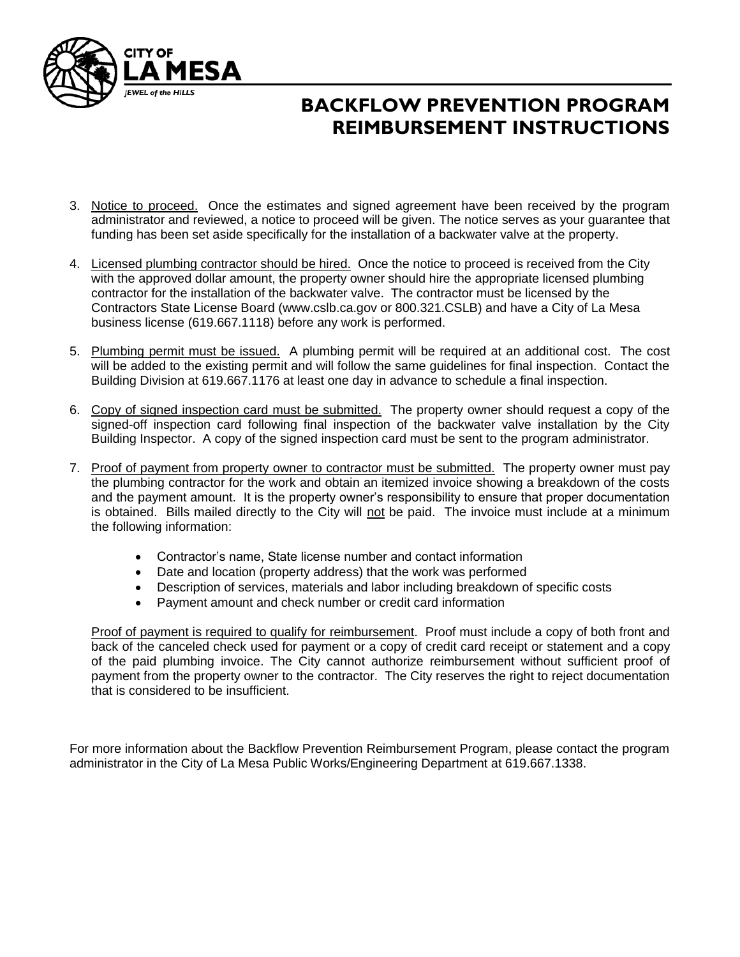

# **BACKFLOW PREVENTION PROGRAM REIMBURSEMENT INSTRUCTIONS**

- 3. Notice to proceed. Once the estimates and signed agreement have been received by the program administrator and reviewed, a notice to proceed will be given. The notice serves as your guarantee that funding has been set aside specifically for the installation of a backwater valve at the property.
- 4. Licensed plumbing contractor should be hired. Once the notice to proceed is received from the City with the approved dollar amount, the property owner should hire the appropriate licensed plumbing contractor for the installation of the backwater valve. The contractor must be licensed by the Contractors State License Board [\(www.cslb.ca.gov](http://www.cslb.ca.gov/) or 800.321.CSLB) and have a City of La Mesa business license (619.667.1118) before any work is performed.
- 5. Plumbing permit must be issued. A plumbing permit will be required at an additional cost. The cost will be added to the existing permit and will follow the same guidelines for final inspection. Contact the Building Division at 619.667.1176 at least one day in advance to schedule a final inspection.
- 6. Copy of signed inspection card must be submitted. The property owner should request a copy of the signed-off inspection card following final inspection of the backwater valve installation by the City Building Inspector. A copy of the signed inspection card must be sent to the program administrator.
- 7. Proof of payment from property owner to contractor must be submitted. The property owner must pay the plumbing contractor for the work and obtain an itemized invoice showing a breakdown of the costs and the payment amount. It is the property owner's responsibility to ensure that proper documentation is obtained. Bills mailed directly to the City will not be paid. The invoice must include at a minimum the following information:
	- Contractor's name, State license number and contact information
	- Date and location (property address) that the work was performed
	- Description of services, materials and labor including breakdown of specific costs
	- Payment amount and check number or credit card information

Proof of payment is required to qualify for reimbursement. Proof must include a copy of both front and back of the canceled check used for payment or a copy of credit card receipt or statement and a copy of the paid plumbing invoice. The City cannot authorize reimbursement without sufficient proof of payment from the property owner to the contractor. The City reserves the right to reject documentation that is considered to be insufficient.

For more information about the Backflow Prevention Reimbursement Program, please contact the program administrator in the City of La Mesa Public Works/Engineering Department at 619.667.1338.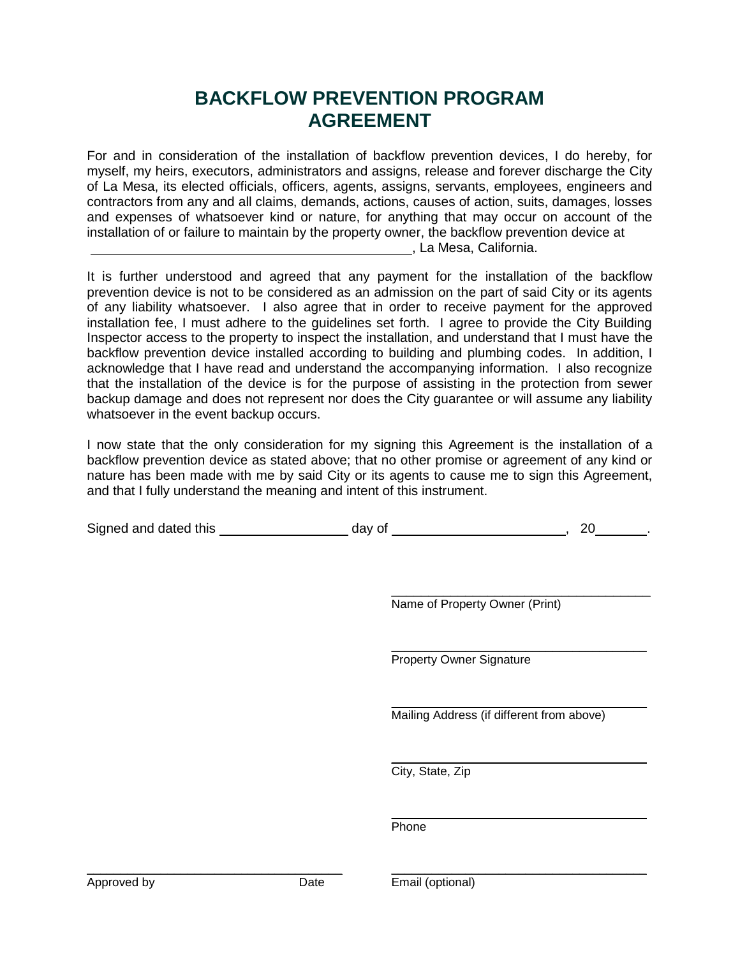### **BACKFLOW PREVENTION PROGRAM AGREEMENT**

For and in consideration of the installation of backflow prevention devices, I do hereby, for myself, my heirs, executors, administrators and assigns, release and forever discharge the City of La Mesa, its elected officials, officers, agents, assigns, servants, employees, engineers and contractors from any and all claims, demands, actions, causes of action, suits, damages, losses and expenses of whatsoever kind or nature, for anything that may occur on account of the installation of or failure to maintain by the property owner, the backflow prevention device at , La Mesa, California.

It is further understood and agreed that any payment for the installation of the backflow prevention device is not to be considered as an admission on the part of said City or its agents of any liability whatsoever. I also agree that in order to receive payment for the approved installation fee, I must adhere to the guidelines set forth. I agree to provide the City Building Inspector access to the property to inspect the installation, and understand that I must have the backflow prevention device installed according to building and plumbing codes. In addition, I acknowledge that I have read and understand the accompanying information. I also recognize that the installation of the device is for the purpose of assisting in the protection from sewer backup damage and does not represent nor does the City guarantee or will assume any liability whatsoever in the event backup occurs.

I now state that the only consideration for my signing this Agreement is the installation of a backflow prevention device as stated above; that no other promise or agreement of any kind or nature has been made with me by said City or its agents to cause me to sign this Agreement, and that I fully understand the meaning and intent of this instrument.

| Signed and dated this | dav of |  |  |
|-----------------------|--------|--|--|
|-----------------------|--------|--|--|

 $\mathcal{L}_\text{max}$  and  $\mathcal{L}_\text{max}$  and  $\mathcal{L}_\text{max}$  and  $\mathcal{L}_\text{max}$ Name of Property Owner (Print)

\_\_\_\_\_\_\_\_\_\_\_\_\_\_\_\_\_\_\_\_\_\_\_\_\_\_\_\_\_\_\_\_\_\_\_\_\_\_ Property Owner Signature

 $\mathcal{L}_\text{max}$  and  $\mathcal{L}_\text{max}$  and  $\mathcal{L}_\text{max}$  and  $\mathcal{L}_\text{max}$ Mailing Address (if different from above)

\_\_\_\_\_\_\_\_\_\_\_\_\_\_\_\_\_\_\_\_\_\_\_\_\_\_\_\_\_\_\_\_\_\_\_\_\_\_

\_\_\_\_\_\_\_\_\_\_\_\_\_\_\_\_\_\_\_\_\_\_\_\_\_\_\_\_\_\_\_\_\_\_\_\_\_\_ City, State, Zip

Phone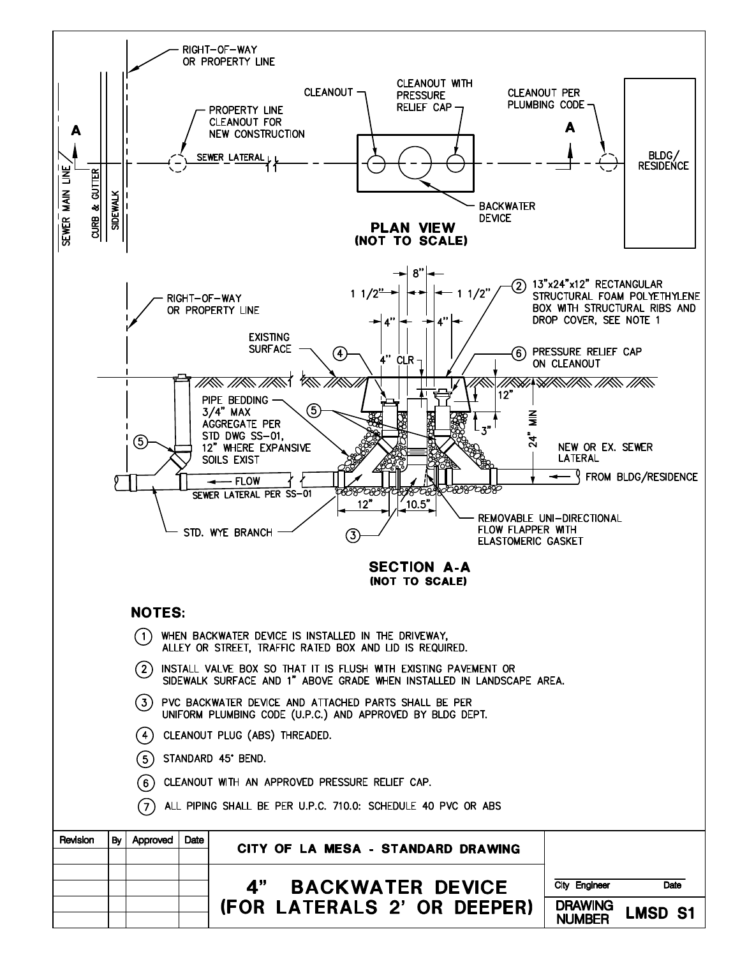